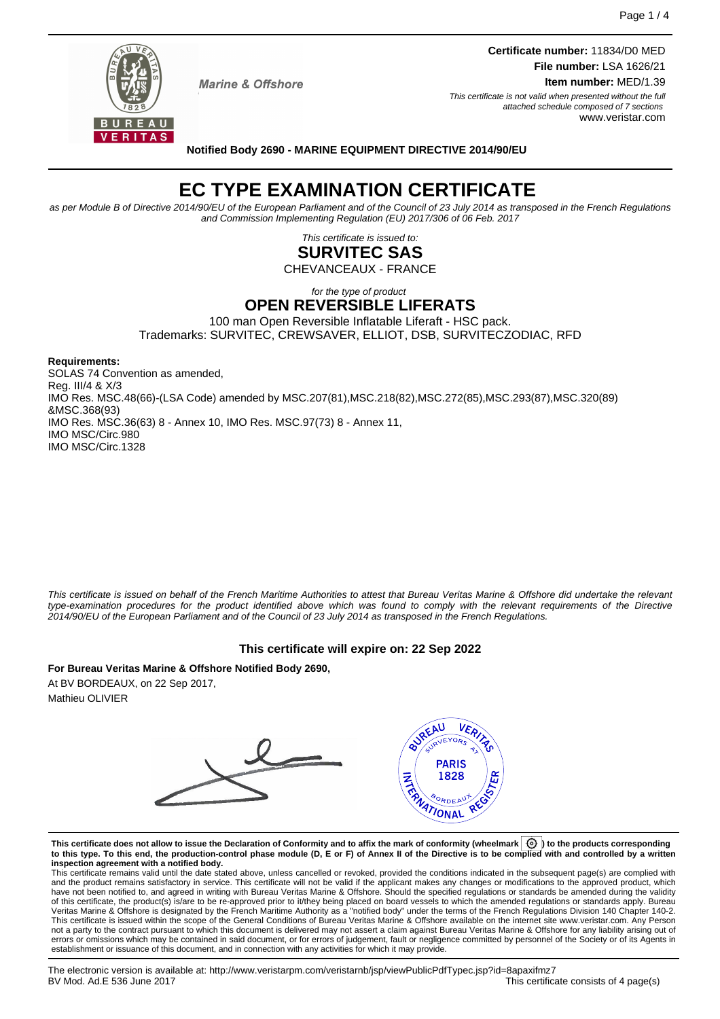

**Marine & Offshore** 

**Certificate number:** 11834/D0 MED **File number:** LSA 1626/21 **Item number:** MED/1.39 This certificate is not valid when presented without the full

attached schedule composed of 7 sections www.veristar.com

**Notified Body 2690 - MARINE EQUIPMENT DIRECTIVE 2014/90/EU**

# **EC TYPE EXAMINATION CERTIFICATE**

as per Module B of Directive 2014/90/EU of the European Parliament and of the Council of 23 July 2014 as transposed in the French Regulations and Commission Implementing Regulation (EU) 2017/306 of 06 Feb. 2017

> This certificate is issued to: **SURVITEC SAS**

CHEVANCEAUX - FRANCE

for the type of product

### **OPEN REVERSIBLE LIFERATS**

100 man Open Reversible Inflatable Liferaft - HSC pack. Trademarks: SURVITEC, CREWSAVER, ELLIOT, DSB, SURVITECZODIAC, RFD

**Requirements:**

SOLAS 74 Convention as amended, Reg. III/4 & X/3 IMO Res. MSC.48(66)-(LSA Code) amended by MSC.207(81),MSC.218(82),MSC.272(85),MSC.293(87),MSC.320(89) &MSC.368(93) IMO Res. MSC.36(63) 8 - Annex 10, IMO Res. MSC.97(73) 8 - Annex 11, IMO MSC/Circ.980 IMO MSC/Circ.1328

This certificate is issued on behalf of the French Maritime Authorities to attest that Bureau Veritas Marine & Offshore did undertake the relevant type-examination procedures for the product identified above which was found to comply with the relevant requirements of the Directive 2014/90/EU of the European Parliament and of the Council of 23 July 2014 as transposed in the French Regulations.

### **This certificate will expire on: 22 Sep 2022**

**For Bureau Veritas Marine & Offshore Notified Body 2690,** At BV BORDEAUX, on 22 Sep 2017, Mathieu OLIVIER



This certificate does not allow to issue the Declaration of Conformity and to affix the mark of conformity (wheelmark  $\boxed{\textcircled{0}}$  to the products corresponding **to this type. To this end, the production-control phase module (D, E or F) of Annex II of the Directive is to be complied with and controlled by a written inspection agreement with a notified body.**

This certificate remains valid until the date stated above, unless cancelled or revoked, provided the conditions indicated in the subsequent page(s) are complied with and the product remains satisfactory in service. This certificate will not be valid if the applicant makes any changes or modifications to the approved product, which have not been notified to, and agreed in writing with Bureau Veritas Marine & Offshore. Should the specified regulations or standards be amended during the validity of this certificate, the product(s) is/are to be re-approved prior to it/they being placed on board vessels to which the amended regulations or standards apply. Bureau<br>Veritas Marine & Offshore is designated by the French not a party to the contract pursuant to which this document is delivered may not assert a claim against Bureau Veritas Marine & Offshore for any liability arising out of errors or omissions which may be contained in said document, or for errors of judgement, fault or negligence committed by personnel of the Society or of its Agents in establishment or issuance of this document, and in connection with any activities for which it may provide.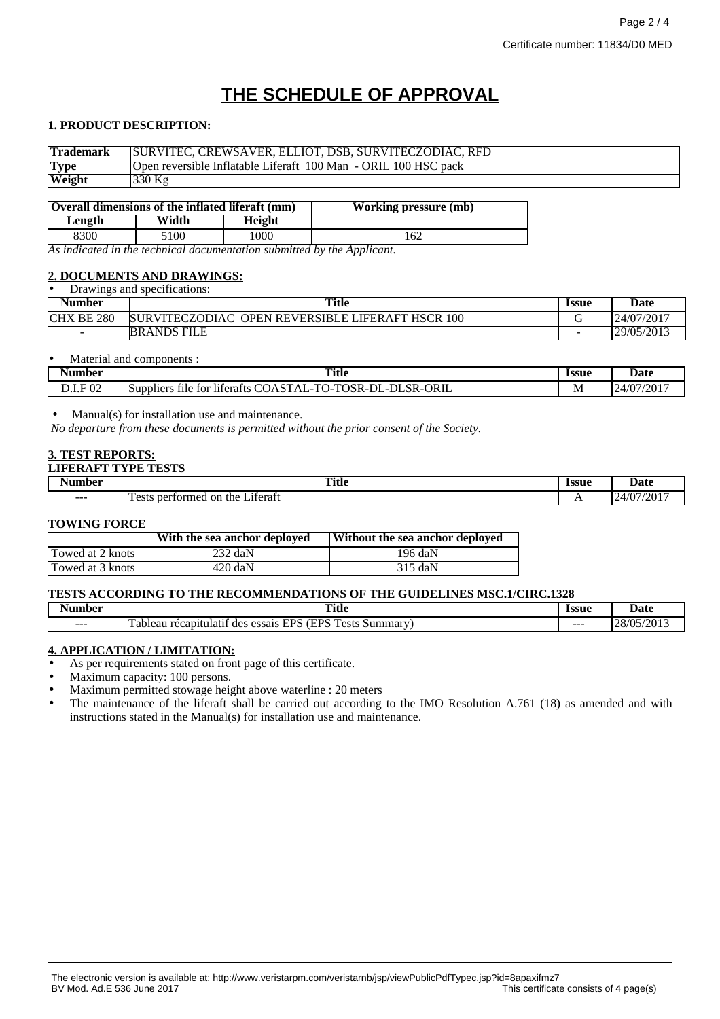## **THE SCHEDULE OF APPROVAL**

#### **1. PRODUCT DESCRIPTION:**

| <b>Trademark</b> | SURVITEC, CREWSAVER, ELLIOT, DSB, SURVITECZODIAC, RFD           |
|------------------|-----------------------------------------------------------------|
| <b>Type</b>      | Open reversible Inflatable Liferaft 100 Man - ORIL 100 HSC pack |
| Weight           | $330$ Kg                                                        |
|                  |                                                                 |

| Overall dimensions of the inflated liferaft (mm) |       |               | <b>Working pressure (mb)</b> |
|--------------------------------------------------|-------|---------------|------------------------------|
| Length                                           | Width | <b>Height</b> |                              |
| 8300                                             | 5100  | 1000          | 62                           |

*As indicated in the technical documentation submitted by the Applicant.*

#### **2. DOCUMENTS AND DRAWINGS:** • Drawings and specifications:

| Drawings and specifications: |                                                            |              |            |
|------------------------------|------------------------------------------------------------|--------------|------------|
| <b>Number</b>                | <b>Title</b>                                               | <b>Issue</b> | Date       |
| BE 280<br><b>CHX</b>         | SURVITECZODIAC<br><b>OPEN REVERSIBLE LIFERAFT HSCR 100</b> |              | 24/07/2017 |
| $\sim$                       | <b>BRANDS FILE</b>                                         | -            | 29/05/2013 |

| Material<br>and | components :                                                                                         |                     |                |
|-----------------|------------------------------------------------------------------------------------------------------|---------------------|----------------|
| Number          | <b>Title</b>                                                                                         | <i><b>Issue</b></i> | <b>Date</b>    |
| F 02            | e for liferafts COASTAL-<br>TOSR-L<br>ORIL<br>TO<br>⊺ SR-u<br>DL-<br>tile<br>Suppliers<br><i>.</i> . | M                   | /2017<br>24/07 |

#### • Manual(s) for installation use and maintenance.

*No departure from these documents is permitted without the prior consent of the Society.*

#### **3. TEST REPORTS:**

| AFT TYPE TESTS!<br>LIFEI |                                                                            |                     |            |
|--------------------------|----------------------------------------------------------------------------|---------------------|------------|
| $\blacksquare$<br>Number | Title                                                                      | <i><b>Issue</b></i> | Date       |
| ---                      | $\cdot$ $\sim$<br>u the l<br>Liferaft<br>performed<br><b>Tests</b><br>. on | $\sqrt{ }$          | 24/07/2017 |

#### **TOWING FORCE**

|                  | With the sea anchor deployed | Without the sea anchor deployed |
|------------------|------------------------------|---------------------------------|
| Towed at 2 knots | $232 \text{ daN}$            | 196 daN                         |
| Towed at 3 knots | $420$ daN                    | $315$ daN                       |

#### **TESTS ACCORDING TO THE RECOMMENDATIONS OF THE GUIDELINES MSC.1/CIRC.1328**

| - -<br>Numbor | <b>FIRE AT</b><br>Title                                                                                 | lecuc<br>ыл | $\sim$<br>Date                              |
|---------------|---------------------------------------------------------------------------------------------------------|-------------|---------------------------------------------|
| $- - -$       | --<br>FDC<br><b>TDC</b><br>recapitulatif<br>Summar<br>des<br>essais<br>`ecte<br>l ableau<br>. CSLS<br>∸ | $- - -$     | $\nu$ (05/0012)<br>$\sim$<br>20/UJ/<br>201. |

#### **4. APPLICATION / LIMITATION:**

As per requirements stated on front page of this certificate.

• Maximum capacity: 100 persons.

• Maximum permitted stowage height above waterline : 20 meters

• The maintenance of the liferaft shall be carried out according to the IMO Resolution A.761 (18) as amended and with instructions stated in the Manual(s) for installation use and maintenance.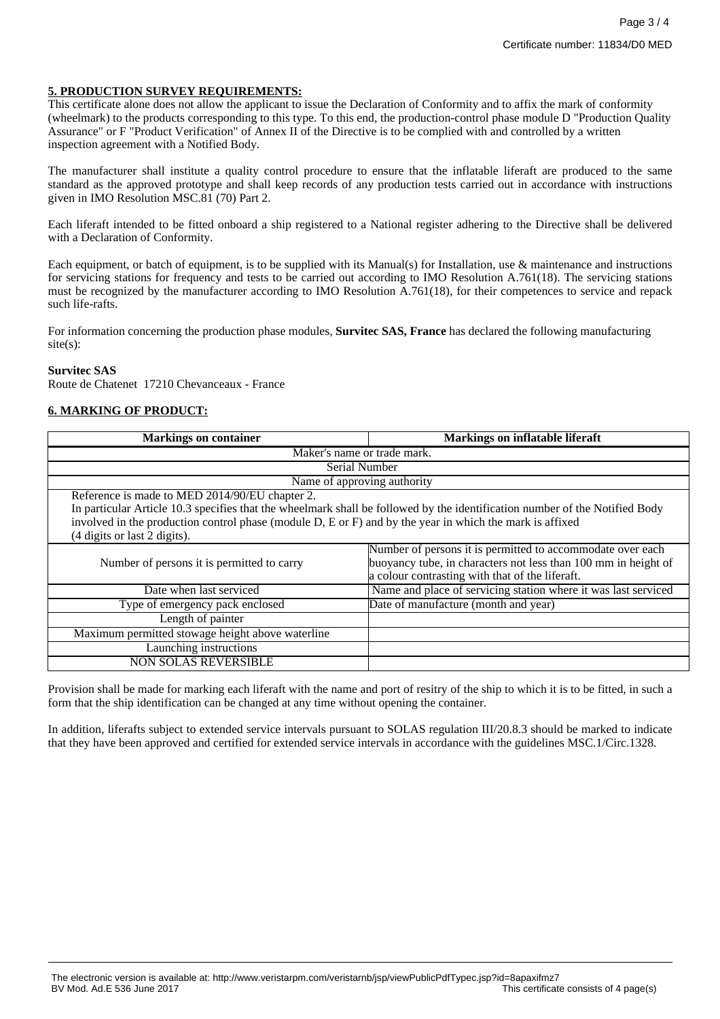#### **5. PRODUCTION SURVEY REQUIREMENTS:**

This certificate alone does not allow the applicant to issue the Declaration of Conformity and to affix the mark of conformity (wheelmark) to the products corresponding to this type. To this end, the production-control phase module D "Production Quality Assurance" or F "Product Verification" of Annex II of the Directive is to be complied with and controlled by a written inspection agreement with a Notified Body.

The manufacturer shall institute a quality control procedure to ensure that the inflatable liferaft are produced to the same standard as the approved prototype and shall keep records of any production tests carried out in accordance with instructions given in IMO Resolution MSC.81 (70) Part 2.

Each liferaft intended to be fitted onboard a ship registered to a National register adhering to the Directive shall be delivered with a Declaration of Conformity.

Each equipment, or batch of equipment, is to be supplied with its Manual(s) for Installation, use & maintenance and instructions for servicing stations for frequency and tests to be carried out according to IMO Resolution A.761(18). The servicing stations must be recognized by the manufacturer according to IMO Resolution A.761(18), for their competences to service and repack such life-rafts.

For information concerning the production phase modules, **Survitec SAS, France** has declared the following manufacturing site(s):

#### **Survitec SAS**

Route de Chatenet 17210 Chevanceaux - France

#### **6. MARKING OF PRODUCT:**

| <b>Markings on container</b>                                                                                                                                                                                                            | <b>Markings on inflatable liferaft</b>                                                                                                                                          |  |
|-----------------------------------------------------------------------------------------------------------------------------------------------------------------------------------------------------------------------------------------|---------------------------------------------------------------------------------------------------------------------------------------------------------------------------------|--|
| Maker's name or trade mark.                                                                                                                                                                                                             |                                                                                                                                                                                 |  |
| Serial Number                                                                                                                                                                                                                           |                                                                                                                                                                                 |  |
| Name of approving authority                                                                                                                                                                                                             |                                                                                                                                                                                 |  |
| Reference is made to MED 2014/90/EU chapter 2.                                                                                                                                                                                          |                                                                                                                                                                                 |  |
| In particular Article 10.3 specifies that the wheelmark shall be followed by the identification number of the Notified Body<br>involved in the production control phase (module D, E or F) and by the year in which the mark is affixed |                                                                                                                                                                                 |  |
| (4 digits or last 2 digits).                                                                                                                                                                                                            |                                                                                                                                                                                 |  |
| Number of persons it is permitted to carry                                                                                                                                                                                              | Number of persons it is permitted to accommodate over each<br>buoyancy tube, in characters not less than 100 mm in height of<br>a colour contrasting with that of the liferaft. |  |
| Date when last serviced                                                                                                                                                                                                                 | Name and place of servicing station where it was last serviced                                                                                                                  |  |
| Type of emergency pack enclosed                                                                                                                                                                                                         | Date of manufacture (month and year)                                                                                                                                            |  |
| Length of painter                                                                                                                                                                                                                       |                                                                                                                                                                                 |  |
| Maximum permitted stowage height above waterline                                                                                                                                                                                        |                                                                                                                                                                                 |  |
| Launching instructions                                                                                                                                                                                                                  |                                                                                                                                                                                 |  |
| <b>NON SOLAS REVERSIBLE</b>                                                                                                                                                                                                             |                                                                                                                                                                                 |  |

Provision shall be made for marking each liferaft with the name and port of resitry of the ship to which it is to be fitted, in such a form that the ship identification can be changed at any time without opening the container.

In addition, liferafts subject to extended service intervals pursuant to SOLAS regulation III/20.8.3 should be marked to indicate that they have been approved and certified for extended service intervals in accordance with the guidelines MSC.1/Circ.1328.